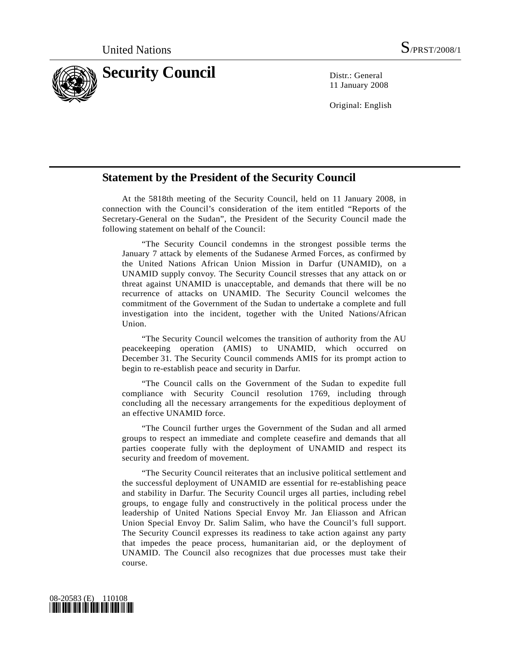

11 January 2008

Original: English

## **Statement by the President of the Security Council**

 At the 5818th meeting of the Security Council, held on 11 January 2008, in connection with the Council's consideration of the item entitled "Reports of the Secretary-General on the Sudan", the President of the Security Council made the following statement on behalf of the Council:

 "The Security Council condemns in the strongest possible terms the January 7 attack by elements of the Sudanese Armed Forces, as confirmed by the United Nations African Union Mission in Darfur (UNAMID), on a UNAMID supply convoy. The Security Council stresses that any attack on or threat against UNAMID is unacceptable, and demands that there will be no recurrence of attacks on UNAMID. The Security Council welcomes the commitment of the Government of the Sudan to undertake a complete and full investigation into the incident, together with the United Nations/African Union.

 "The Security Council welcomes the transition of authority from the AU peacekeeping operation (AMIS) to UNAMID, which occurred on December 31. The Security Council commends AMIS for its prompt action to begin to re-establish peace and security in Darfur.

 "The Council calls on the Government of the Sudan to expedite full compliance with Security Council resolution 1769, including through concluding all the necessary arrangements for the expeditious deployment of an effective UNAMID force.

 "The Council further urges the Government of the Sudan and all armed groups to respect an immediate and complete ceasefire and demands that all parties cooperate fully with the deployment of UNAMID and respect its security and freedom of movement.

 "The Security Council reiterates that an inclusive political settlement and the successful deployment of UNAMID are essential for re-establishing peace and stability in Darfur. The Security Council urges all parties, including rebel groups, to engage fully and constructively in the political process under the leadership of United Nations Special Envoy Mr. Jan Eliasson and African Union Special Envoy Dr. Salim Salim, who have the Council's full support. The Security Council expresses its readiness to take action against any party that impedes the peace process, humanitarian aid, or the deployment of UNAMID. The Council also recognizes that due processes must take their course.